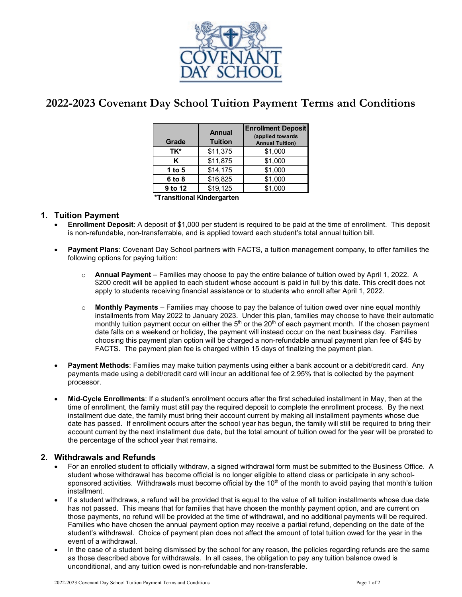

# **2022-2023 Covenant Day School Tuition Payment Terms and Conditions**

| Grade                       | <b>Annual</b><br><b>Tuition</b> | <b>Enrollment Deposit</b><br>(applied towards<br><b>Annual Tuition)</b> |
|-----------------------------|---------------------------------|-------------------------------------------------------------------------|
| TK*                         | \$11,375                        | \$1,000                                                                 |
| Κ                           | \$11,875                        | \$1,000                                                                 |
| 1 to $5$                    | \$14,175                        | \$1,000                                                                 |
| 6 to 8                      | \$16,825                        | \$1,000                                                                 |
| 9 to 12                     | \$19,125                        | \$1,000                                                                 |
| .<br>.<br>والمستور والمناطق |                                 |                                                                         |

**\*Transitional Kindergarten**

## **1. Tuition Payment**

- **Enrollment Deposit**: A deposit of \$1,000 per student is required to be paid at the time of enrollment. This deposit is non-refundable, non-transferrable, and is applied toward each student's total annual tuition bill.
- **Payment Plans**: Covenant Day School partners with FACTS, a tuition management company, to offer families the following options for paying tuition:
	- o **Annual Payment**  Families may choose to pay the entire balance of tuition owed by April 1, 2022. A \$200 credit will be applied to each student whose account is paid in full by this date. This credit does not apply to students receiving financial assistance or to students who enroll after April 1, 2022.
	- o **Monthly Payments** Families may choose to pay the balance of tuition owed over nine equal monthly installments from May 2022 to January 2023. Under this plan, families may choose to have their automatic monthly tuition payment occur on either the  $5<sup>th</sup>$  or the 20<sup>th</sup> of each payment month. If the chosen payment date falls on a weekend or holiday, the payment will instead occur on the next business day. Families choosing this payment plan option will be charged a non-refundable annual payment plan fee of \$45 by FACTS. The payment plan fee is charged within 15 days of finalizing the payment plan.
- **Payment Methods**: Families may make tuition payments using either a bank account or a debit/credit card. Any payments made using a debit/credit card will incur an additional fee of 2.95% that is collected by the payment processor.
- **Mid-Cycle Enrollments**: If a student's enrollment occurs after the first scheduled installment in May, then at the time of enrollment, the family must still pay the required deposit to complete the enrollment process. By the next installment due date, the family must bring their account current by making all installment payments whose due date has passed. If enrollment occurs after the school year has begun, the family will still be required to bring their account current by the next installment due date, but the total amount of tuition owed for the year will be prorated to the percentage of the school year that remains.

### **2. Withdrawals and Refunds**

- For an enrolled student to officially withdraw, a signed withdrawal form must be submitted to the Business Office. A student whose withdrawal has become official is no longer eligible to attend class or participate in any schoolsponsored activities. Withdrawals must become official by the  $10<sup>th</sup>$  of the month to avoid paying that month's tuition installment.
- If a student withdraws, a refund will be provided that is equal to the value of all tuition installments whose due date has not passed. This means that for families that have chosen the monthly payment option, and are current on those payments, no refund will be provided at the time of withdrawal, and no additional payments will be required. Families who have chosen the annual payment option may receive a partial refund, depending on the date of the student's withdrawal. Choice of payment plan does not affect the amount of total tuition owed for the year in the event of a withdrawal.
- In the case of a student being dismissed by the school for any reason, the policies regarding refunds are the same as those described above for withdrawals. In all cases, the obligation to pay any tuition balance owed is unconditional, and any tuition owed is non-refundable and non-transferable.